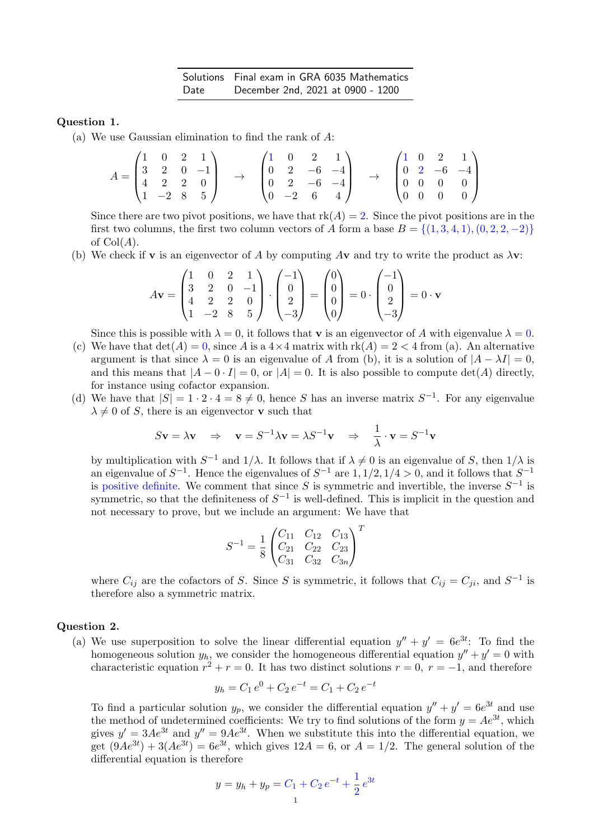## Question 1.

(a) We use Gaussian elimination to find the rank of A:

$$
A = \begin{pmatrix} 1 & 0 & 2 & 1 \\ 3 & 2 & 0 & -1 \\ 4 & 2 & 2 & 0 \\ 1 & -2 & 8 & 5 \end{pmatrix} \rightarrow \begin{pmatrix} 1 & 0 & 2 & 1 \\ 0 & 2 & -6 & -4 \\ 0 & 2 & -6 & -4 \\ 0 & -2 & 6 & 4 \end{pmatrix} \rightarrow \begin{pmatrix} 1 & 0 & 2 & 1 \\ 0 & 2 & -6 & -4 \\ 0 & 0 & 0 & 0 \\ 0 & 0 & 0 & 0 \end{pmatrix}
$$

Since there are two pivot positions, we have that  $rk(A) = 2$ . Since the pivot positions are in the first two columns, the first two column vectors of A form a base  $B = \{(1,3,4,1), (0,2,2,-2)\}\$ of  $Col(A)$ .

(b) We check if **v** is an eigenvector of A by computing A**v** and try to write the product as  $\lambda$ **v**:

$$
A\mathbf{v} = \begin{pmatrix} 1 & 0 & 2 & 1 \\ 3 & 2 & 0 & -1 \\ 4 & 2 & 2 & 0 \\ 1 & -2 & 8 & 5 \end{pmatrix} \cdot \begin{pmatrix} -1 \\ 0 \\ 2 \\ -3 \end{pmatrix} = \begin{pmatrix} 0 \\ 0 \\ 0 \\ 0 \end{pmatrix} = 0 \cdot \begin{pmatrix} -1 \\ 0 \\ 2 \\ -3 \end{pmatrix} = 0 \cdot \mathbf{v}
$$

Since this is possible with  $\lambda = 0$ , it follows that **v** is an eigenvector of A with eigenvalue  $\lambda = 0$ .

- (c) We have that  $\det(A) = 0$ , since A is a  $4 \times 4$  matrix with  $\text{rk}(A) = 2 < 4$  from (a). An alternative argument is that since  $\lambda = 0$  is an eigenvalue of A from (b), it is a solution of  $|A - \lambda I| = 0$ , and this means that  $|A - 0 \cdot I| = 0$ , or  $|A| = 0$ . It is also possible to compute det(A) directly, for instance using cofactor expansion.
- (d) We have that  $|S| = 1 \cdot 2 \cdot 4 = 8 \neq 0$ , hence S has an inverse matrix  $S^{-1}$ . For any eigenvalue  $\lambda \neq 0$  of S, there is an eigenvector **v** such that

$$
S\mathbf{v} = \lambda \mathbf{v} \Rightarrow \mathbf{v} = S^{-1} \lambda \mathbf{v} = \lambda S^{-1} \mathbf{v} \Rightarrow \frac{1}{\lambda} \cdot \mathbf{v} = S^{-1} \mathbf{v}
$$

by multiplication with  $S^{-1}$  and  $1/\lambda$ . It follows that if  $\lambda \neq 0$  is an eigenvalue of S, then  $1/\lambda$  is an eigenvalue of  $S^{-1}$ . Hence the eigenvalues of  $S^{-1}$  are  $1, 1/2, 1/4 > 0$ , and it follows that  $S^{-1}$ is positive definite. We comment that since S is symmetric and invertible, the inverse  $S^{-1}$  is symmetric, so that the definiteness of  $S^{-1}$  is well-defined. This is implicit in the question and not necessary to prove, but we include an argument: We have that

$$
S^{-1} = \frac{1}{8} \begin{pmatrix} C_{11} & C_{12} & C_{13} \\ C_{21} & C_{22} & C_{23} \\ C_{31} & C_{32} & C_{3n} \end{pmatrix}^{T}
$$

where  $C_{ij}$  are the cofactors of S. Since S is symmetric, it follows that  $C_{ij} = C_{ji}$ , and  $S^{-1}$  is therefore also a symmetric matrix.

## Question 2.

(a) We use superposition to solve the linear differential equation  $y'' + y' = 6e^{3t}$ . To find the homogeneous solution  $y_h$ , we consider the homogeneous differential equation  $y'' + y' = 0$  with characteristic equation  $r^2 + r = 0$ . It has two distinct solutions  $r = 0$ ,  $r = -1$ , and therefore

$$
y_h = C_1 e^0 + C_2 e^{-t} = C_1 + C_2 e^{-t}
$$

To find a particular solution  $y_p$ , we consider the differential equation  $y'' + y' = 6e^{3t}$  and use the method of undetermined coefficients: We try to find solutions of the form  $y = Ae^{3t}$ , which gives  $y' = 3Ae^{3t}$  and  $y'' = 9Ae^{3t}$ . When we substitute this into the differential equation, we get  $(9Ae^{3t}) + 3(Ae^{3t}) = 6e^{3t}$ , which gives  $12A = 6$ , or  $A = 1/2$ . The general solution of the differential equation is therefore

$$
y = y_h + y_p = C_1 + C_2 e^{-t} + \frac{1}{2} e^{3t}
$$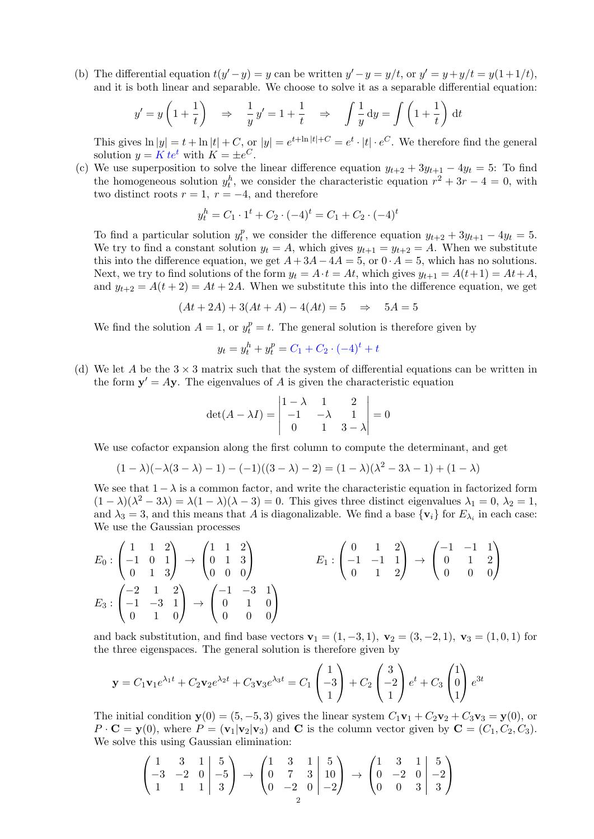(b) The differential equation  $t(y'-y) = y$  can be written  $y'-y = y/t$ , or  $y' = y + y/t = y(1+1/t)$ , and it is both linear and separable. We choose to solve it as a separable differential equation:

$$
y' = y \left( 1 + \frac{1}{t} \right) \Rightarrow \frac{1}{y} y' = 1 + \frac{1}{t} \Rightarrow \int \frac{1}{y} dy = \int \left( 1 + \frac{1}{t} \right) dt
$$

This gives  $\ln|y| = t + \ln|t| + C$ , or  $|y| = e^{t + \ln|t| + C} = e^t \cdot |t| \cdot e^C$ . We therefore find the general solution  $y = K t e^t$  with  $K = \pm e^C$ .

(c) We use superposition to solve the linear difference equation  $y_{t+2} + 3y_{t+1} - 4y_t = 5$ : To find the homogeneous solution  $y_t^h$ , we consider the characteristic equation  $r^2 + 3r - 4 = 0$ , with two distinct roots  $r = 1$ ,  $r = -4$ , and therefore

$$
y_t^h = C_1 \cdot 1^t + C_2 \cdot (-4)^t = C_1 + C_2 \cdot (-4)^t
$$

To find a particular solution  $y_t^p$ <sup>p</sup>, we consider the difference equation  $y_{t+2} + 3y_{t+1} - 4y_t = 5$ . We try to find a constant solution  $y_t = A$ , which gives  $y_{t+1} = y_{t+2} = A$ . When we substitute this into the difference equation, we get  $A+3A-4A=5$ , or  $0 \cdot A=5$ , which has no solutions. Next, we try to find solutions of the form  $y_t = A \cdot t = At$ , which gives  $y_{t+1} = A(t+1) = At+A$ , and  $y_{t+2} = A(t+2) = At + 2A$ . When we substitute this into the difference equation, we get

$$
(At + 2A) + 3(At + A) - 4(At) = 5 \Rightarrow 5A = 5
$$

We find the solution  $A = 1$ , or  $y_t^p = t$ . The general solution is therefore given by

$$
y_t = y_t^h + y_t^p = C_1 + C_2 \cdot (-4)^t + t
$$

(d) We let A be the  $3 \times 3$  matrix such that the system of differential equations can be written in the form  $y' = Ay$ . The eigenvalues of A is given the characteristic equation

$$
\det(A - \lambda I) = \begin{vmatrix} 1 - \lambda & 1 & 2 \\ -1 & -\lambda & 1 \\ 0 & 1 & 3 - \lambda \end{vmatrix} = 0
$$

We use cofactor expansion along the first column to compute the determinant, and get

$$
(1 - \lambda)(-\lambda(3 - \lambda) - 1) - (-1)((3 - \lambda) - 2) = (1 - \lambda)(\lambda^2 - 3\lambda - 1) + (1 - \lambda)
$$

We see that  $1 - \lambda$  is a common factor, and write the characteristic equation in factorized form  $(1 - \lambda)(\lambda^2 - 3\lambda) = \lambda(1 - \lambda)(\lambda - 3) = 0$ . This gives three distinct eigenvalues  $\lambda_1 = 0, \lambda_2 = 1$ , and  $\lambda_3 = 3$ , and this means that A is diagonalizable. We find a base  $\{v_i\}$  for  $E_{\lambda_i}$  in each case: We use the Gaussian processes

$$
E_0: \begin{pmatrix} 1 & 1 & 2 \\ -1 & 0 & 1 \\ 0 & 1 & 3 \end{pmatrix} \rightarrow \begin{pmatrix} 1 & 1 & 2 \\ 0 & 1 & 3 \\ 0 & 0 & 0 \end{pmatrix} \qquad E_1: \begin{pmatrix} 0 & 1 & 2 \\ -1 & -1 & 1 \\ 0 & 1 & 2 \end{pmatrix} \rightarrow \begin{pmatrix} -1 & -1 & 1 \\ 0 & 1 & 2 \\ 0 & 0 & 0 \end{pmatrix}
$$

$$
E_3: \begin{pmatrix} -2 & 1 & 2 \\ -1 & -3 & 1 \\ 0 & 1 & 0 \end{pmatrix} \rightarrow \begin{pmatrix} -1 & -3 & 1 \\ 0 & 1 & 0 \\ 0 & 0 & 0 \end{pmatrix}
$$

and back substitution, and find base vectors  $v_1 = (1, -3, 1)$ ,  $v_2 = (3, -2, 1)$ ,  $v_3 = (1, 0, 1)$  for the three eigenspaces. The general solution is therefore given by

$$
\mathbf{y} = C_1 \mathbf{v}_1 e^{\lambda_1 t} + C_2 \mathbf{v}_2 e^{\lambda_2 t} + C_3 \mathbf{v}_3 e^{\lambda_3 t} = C_1 \begin{pmatrix} 1 \\ -3 \\ 1 \end{pmatrix} + C_2 \begin{pmatrix} 3 \\ -2 \\ 1 \end{pmatrix} e^t + C_3 \begin{pmatrix} 1 \\ 0 \\ 1 \end{pmatrix} e^{3t}
$$

The initial condition  $y(0) = (5, -5, 3)$  gives the linear system  $C_1v_1 + C_2v_2 + C_3v_3 = y(0)$ , or  $P \cdot \mathbf{C} = \mathbf{y}(0)$ , where  $P = (\mathbf{v}_1 | \mathbf{v}_2 | \mathbf{v}_3)$  and  $\mathbf{C}$  is the column vector given by  $\mathbf{C} = (C_1, C_2, C_3)$ . We solve this using Gaussian elimination:

$$
\begin{pmatrix} 1 & 3 & 1 & 5 \ -3 & -2 & 0 & -5 \ 1 & 1 & 1 & 3 \end{pmatrix} \rightarrow \begin{pmatrix} 1 & 3 & 1 & 5 \ 0 & 7 & 3 & 10 \ 0 & -2 & 0 & -2 \end{pmatrix} \rightarrow \begin{pmatrix} 1 & 3 & 1 & 5 \ 0 & -2 & 0 & -2 \ 0 & 0 & 3 & 3 \end{pmatrix}
$$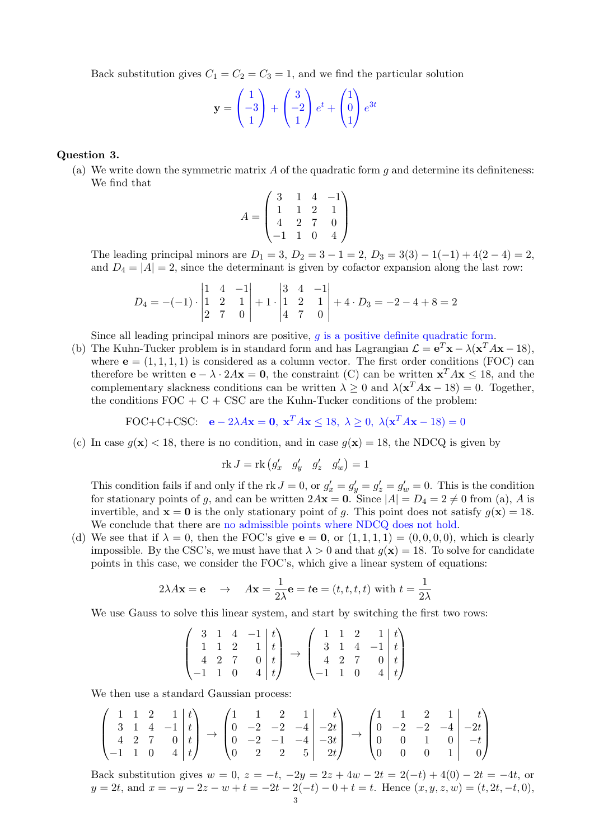Back substitution gives  $C_1 = C_2 = C_3 = 1$ , and we find the particular solution

$$
\mathbf{y} = \begin{pmatrix} 1 \\ -3 \\ 1 \end{pmatrix} + \begin{pmatrix} 3 \\ -2 \\ 1 \end{pmatrix} e^t + \begin{pmatrix} 1 \\ 0 \\ 1 \end{pmatrix} e^{3t}
$$

## Question 3.

(a) We write down the symmetric matrix A of the quadratic form q and determine its definiteness: We find that

$$
A = \begin{pmatrix} 3 & 1 & 4 & -1 \\ 1 & 1 & 2 & 1 \\ 4 & 2 & 7 & 0 \\ -1 & 1 & 0 & 4 \end{pmatrix}
$$

The leading principal minors are  $D_1 = 3$ ,  $D_2 = 3 - 1 = 2$ ,  $D_3 = 3(3) - 1(-1) + 4(2 - 4) = 2$ , and  $D_4 = |A| = 2$ , since the determinant is given by cofactor expansion along the last row:

$$
D_4 = -(-1) \cdot \begin{vmatrix} 1 & 4 & -1 \\ 1 & 2 & 1 \\ 2 & 7 & 0 \end{vmatrix} + 1 \cdot \begin{vmatrix} 3 & 4 & -1 \\ 1 & 2 & 1 \\ 4 & 7 & 0 \end{vmatrix} + 4 \cdot D_3 = -2 - 4 + 8 = 2
$$

Since all leading principal minors are positive,  $g$  is a positive definite quadratic form.

(b) The Kuhn-Tucker problem is in standard form and has Lagrangian  $\mathcal{L} = e^T \mathbf{x} - \lambda (\mathbf{x}^T A \mathbf{x} - 18)$ , where  $\mathbf{e} = (1, 1, 1, 1)$  is considered as a column vector. The first order conditions (FOC) can therefore be written  $\mathbf{e} - \lambda \cdot 2A\mathbf{x} = \mathbf{0}$ , the constraint (C) can be written  $\mathbf{x}^T A\mathbf{x} \le 18$ , and the complementary slackness conditions can be written  $\lambda \geq 0$  and  $\lambda(\mathbf{x}^T A \mathbf{x} - 18) = 0$ . Together, the conditions  $FOC + C + CSC$  are the Kuhn-Tucker conditions of the problem:

FOC+C+CSC: 
$$
\mathbf{e} - 2\lambda A\mathbf{x} = \mathbf{0}, \ \mathbf{x}^T A\mathbf{x} \le 18, \ \lambda \ge 0, \ \lambda(\mathbf{x}^T A\mathbf{x} - 18) = 0
$$

(c) In case  $g(\mathbf{x}) < 18$ , there is no condition, and in case  $g(\mathbf{x}) = 18$ , the NDCQ is given by

$$
rk J = rk (g'_x \t g'_y \t g'_z \t g'_w) = 1
$$

This condition fails if and only if the rk  $J = 0$ , or  $g'_x = g'_y = g'_z = g'_w = 0$ . This is the condition for stationary points of g, and can be written  $2A\mathbf{x} = \mathbf{0}$ . Since  $|A| = D_4 = 2 \neq 0$  from (a), A is invertible, and  $\mathbf{x} = \mathbf{0}$  is the only stationary point of g. This point does not satisfy  $g(\mathbf{x}) = 18$ . We conclude that there are no admissible points where NDCQ does not hold.

(d) We see that if  $\lambda = 0$ , then the FOC's give  $e = 0$ , or  $(1, 1, 1, 1) = (0, 0, 0, 0)$ , which is clearly impossible. By the CSC's, we must have that  $\lambda > 0$  and that  $q(\mathbf{x}) = 18$ . To solve for candidate points in this case, we consider the FOC's, which give a linear system of equations:

$$
2\lambda A
$$
**x** = **e**  $\rightarrow$   $A$ **x** =  $\frac{1}{2\lambda}$ **e** =  $t$ **e** =  $(t, t, t, t)$  with  $t = \frac{1}{2\lambda}$ 

We use Gauss to solve this linear system, and start by switching the first two rows:

$$
\begin{pmatrix}\n3 & 1 & 4 & -1 & t \\
1 & 1 & 2 & 1 & t \\
4 & 2 & 7 & 0 & t \\
-1 & 1 & 0 & 4 & t\n\end{pmatrix}\n\rightarrow\n\begin{pmatrix}\n1 & 1 & 2 & 1 & t \\
3 & 1 & 4 & -1 & t \\
4 & 2 & 7 & 0 & t \\
-1 & 1 & 0 & 4 & t\n\end{pmatrix}
$$

We then use a standard Gaussian process:

$$
\begin{pmatrix} 1 & 1 & 2 & 1 & t \ 3 & 1 & 4 & -1 & t \ 4 & 2 & 7 & 0 & t \ -1 & 1 & 0 & 4 & t \ \end{pmatrix} \rightarrow \begin{pmatrix} 1 & 1 & 2 & 1 & t \ 0 & -2 & -2 & -4 & -2t \ 0 & 2 & 2 & 5 & 2t \end{pmatrix} \rightarrow \begin{pmatrix} 1 & 1 & 2 & 1 & t \ 0 & -2 & -2 & -4 & -2t \ 0 & 0 & 1 & 0 & -t \ 0 & 0 & 0 & 1 & 0 \end{pmatrix}
$$

Back substitution gives  $w = 0$ ,  $z = -t$ ,  $-2y = 2z + 4w - 2t = 2(-t) + 4(0) - 2t = -4t$ , or  $y = 2t$ , and  $x = -y - 2z - w + t = -2t - 2(-t) - 0 + t = t$ . Hence  $(x, y, z, w) = (t, 2t, -t, 0)$ ,